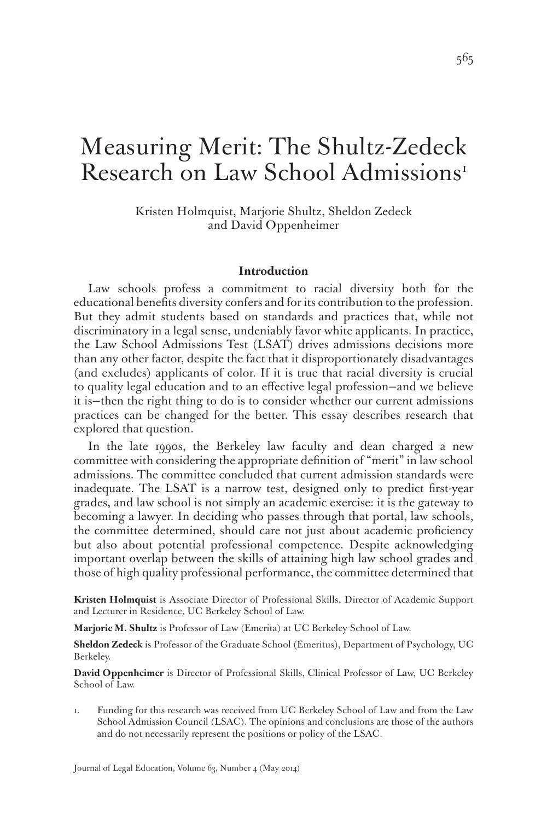# Measuring Merit: The Shultz-Zedeck Research on Law School Admissions<sup>1</sup>

Kristen Holmquist, Marjorie Shultz, Sheldon Zedeck and David Oppenheimer

#### **Introduction**

Law schools profess a commitment to racial diversity both for the educational benefits diversity confers and for its contribution to the profession. But they admit students based on standards and practices that, while not discriminatory in a legal sense, undeniably favor white applicants. In practice, the Law School Admissions Test (LSAT) drives admissions decisions more than any other factor, despite the fact that it disproportionately disadvantages (and excludes) applicants of color. If it is true that racial diversity is crucial to quality legal education and to an effective legal profession—and we believe it is—then the right thing to do is to consider whether our current admissions practices can be changed for the better. This essay describes research that explored that question.

In the late 1990s, the Berkeley law faculty and dean charged a new committee with considering the appropriate definition of "merit" in law school admissions. The committee concluded that current admission standards were inadequate. The LSAT is a narrow test, designed only to predict first-year grades, and law school is not simply an academic exercise: it is the gateway to becoming a lawyer. In deciding who passes through that portal, law schools, the committee determined, should care not just about academic proficiency but also about potential professional competence. Despite acknowledging important overlap between the skills of attaining high law school grades and those of high quality professional performance, the committee determined that

**Kristen Holmquist** is Associate Director of Professional Skills, Director of Academic Support and Lecturer in Residence, UC Berkeley School of Law.

**Marjorie M. Shultz** is Professor of Law (Emerita) at UC Berkeley School of Law.

**Sheldon Zedeck** is Professor of the Graduate School (Emeritus), Department of Psychology, UC Berkeley.

**David Oppenheimer** is Director of Professional Skills, Clinical Professor of Law, UC Berkeley School of Law.

1. Funding for this research was received from UC Berkeley School of Law and from the Law School Admission Council (LSAC). The opinions and conclusions are those of the authors and do not necessarily represent the positions or policy of the LSAC.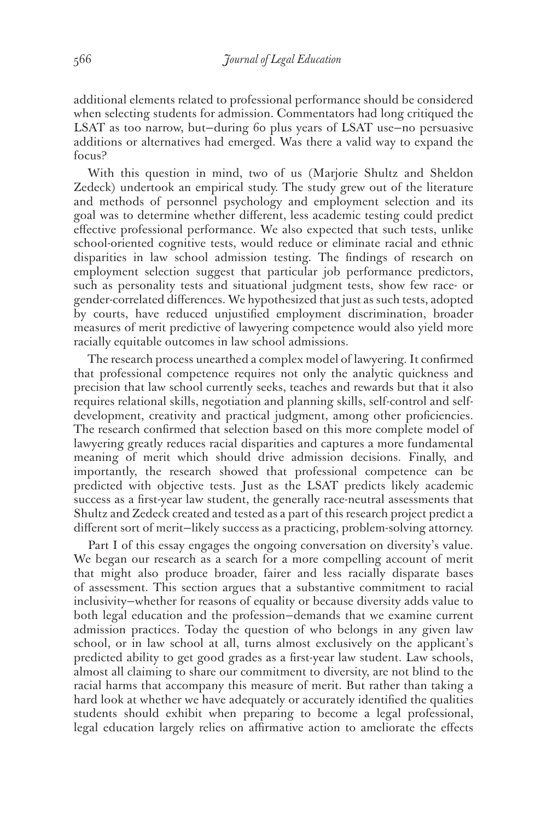additional elements related to professional performance should be considered when selecting students for admission. Commentators had long critiqued the LSAT as too narrow, but—during 60 plus years of LSAT use—no persuasive additions or alternatives had emerged. Was there a valid way to expand the focus?

With this question in mind, two of us (Marjorie Shultz and Sheldon Zedeck) undertook an empirical study. The study grew out of the literature and methods of personnel psychology and employment selection and its goal was to determine whether different, less academic testing could predict effective professional performance. We also expected that such tests, unlike school-oriented cognitive tests, would reduce or eliminate racial and ethnic disparities in law school admission testing. The findings of research on employment selection suggest that particular job performance predictors, such as personality tests and situational judgment tests, show few race- or gender-correlated differences. We hypothesized that just as such tests, adopted by courts, have reduced unjustified employment discrimination, broader measures of merit predictive of lawyering competence would also yield more racially equitable outcomes in law school admissions.

The research process unearthed a complex model of lawyering. It confirmed that professional competence requires not only the analytic quickness and precision that law school currently seeks, teaches and rewards but that it also requires relational skills, negotiation and planning skills, self-control and selfdevelopment, creativity and practical judgment, among other proficiencies. The research confirmed that selection based on this more complete model of lawyering greatly reduces racial disparities and captures a more fundamental meaning of merit which should drive admission decisions. Finally, and importantly, the research showed that professional competence can be predicted with objective tests. Just as the LSAT predicts likely academic success as a first-year law student, the generally race-neutral assessments that Shultz and Zedeck created and tested as a part of this research project predict a different sort of merit—likely success as a practicing, problem-solving attorney.

Part I of this essay engages the ongoing conversation on diversity's value. We began our research as a search for a more compelling account of merit that might also produce broader, fairer and less racially disparate bases of assessment. This section argues that a substantive commitment to racial inclusivity—whether for reasons of equality or because diversity adds value to both legal education and the profession—demands that we examine current admission practices. Today the question of who belongs in any given law school, or in law school at all, turns almost exclusively on the applicant's predicted ability to get good grades as a first-year law student. Law schools, almost all claiming to share our commitment to diversity, are not blind to the racial harms that accompany this measure of merit. But rather than taking a hard look at whether we have adequately or accurately identified the qualities students should exhibit when preparing to become a legal professional, legal education largely relies on affirmative action to ameliorate the effects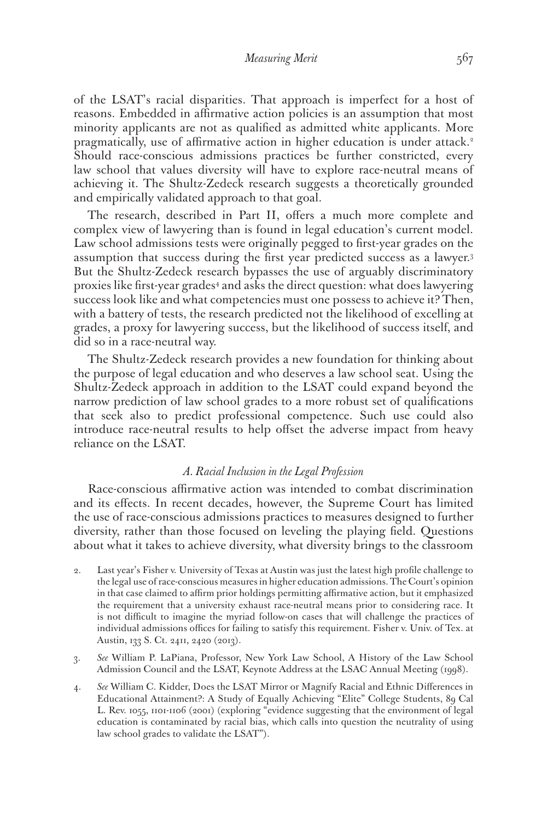of the LSAT's racial disparities. That approach is imperfect for a host of reasons. Embedded in affirmative action policies is an assumption that most minority applicants are not as qualified as admitted white applicants. More pragmatically, use of affirmative action in higher education is under attack.<sup>2</sup> Should race-conscious admissions practices be further constricted, every law school that values diversity will have to explore race-neutral means of achieving it. The Shultz-Zedeck research suggests a theoretically grounded and empirically validated approach to that goal.

The research, described in Part II, offers a much more complete and complex view of lawyering than is found in legal education's current model. Law school admissions tests were originally pegged to first-year grades on the assumption that success during the first year predicted success as a lawyer.3 But the Shultz-Zedeck research bypasses the use of arguably discriminatory proxies like first-year grades<sup>4</sup> and asks the direct question: what does lawyering success look like and what competencies must one possess to achieve it? Then, with a battery of tests, the research predicted not the likelihood of excelling at grades, a proxy for lawyering success, but the likelihood of success itself, and did so in a race-neutral way.

The Shultz-Zedeck research provides a new foundation for thinking about the purpose of legal education and who deserves a law school seat. Using the Shultz-Zedeck approach in addition to the LSAT could expand beyond the narrow prediction of law school grades to a more robust set of qualifications that seek also to predict professional competence. Such use could also introduce race-neutral results to help offset the adverse impact from heavy reliance on the LSAT.

# *A. Racial Inclusion in the Legal Profession*

Race-conscious affirmative action was intended to combat discrimination and its effects. In recent decades, however, the Supreme Court has limited the use of race-conscious admissions practices to measures designed to further diversity, rather than those focused on leveling the playing field. Questions about what it takes to achieve diversity, what diversity brings to the classroom

- 2. Last year's Fisher v. University of Texas at Austin was just the latest high profile challenge to the legal use of race-conscious measures in higher education admissions. The Court's opinion in that case claimed to affirm prior holdings permitting affirmative action, but it emphasized the requirement that a university exhaust race-neutral means prior to considering race. It is not difficult to imagine the myriad follow-on cases that will challenge the practices of individual admissions offices for failing to satisfy this requirement. Fisher v. Univ. of Tex. at Austin, 133 S. Ct. 2411, 2420 (2013).
- 3. *See* William P. LaPiana, Professor, New York Law School, A History of the Law School Admission Council and the LSAT, Keynote Address at the LSAC Annual Meeting (1998).
- 4. *See* William C. Kidder, Does the LSAT Mirror or Magnify Racial and Ethnic Differences in Educational Attainment?: A Study of Equally Achieving "Elite" College Students, 89 Cal L. Rev. 1055, 1101-1106 (2001) (exploring "evidence suggesting that the environment of legal education is contaminated by racial bias, which calls into question the neutrality of using law school grades to validate the LSAT").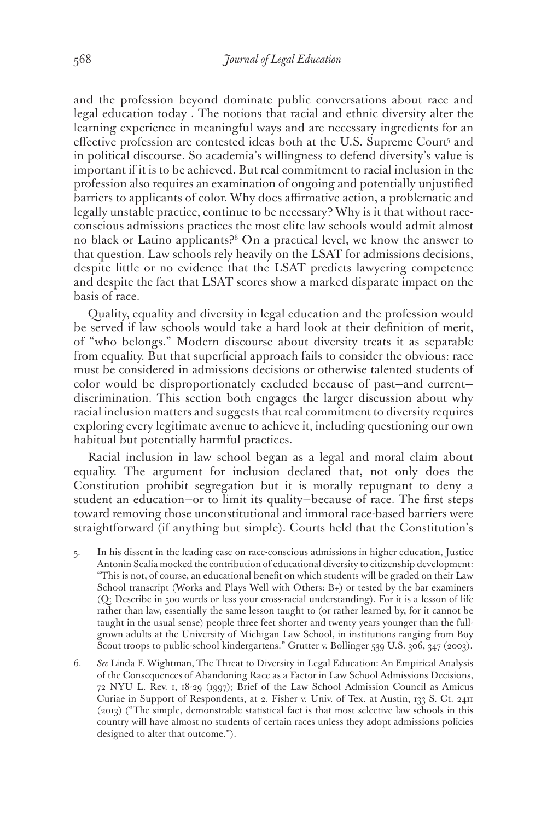and the profession beyond dominate public conversations about race and legal education today . The notions that racial and ethnic diversity alter the learning experience in meaningful ways and are necessary ingredients for an effective profession are contested ideas both at the U.S. Supreme Court<sup>5</sup> and in political discourse. So academia's willingness to defend diversity's value is important if it is to be achieved. But real commitment to racial inclusion in the profession also requires an examination of ongoing and potentially unjustified barriers to applicants of color. Why does affirmative action, a problematic and legally unstable practice, continue to be necessary? Why is it that without raceconscious admissions practices the most elite law schools would admit almost no black or Latino applicants?6 On a practical level, we know the answer to that question. Law schools rely heavily on the LSAT for admissions decisions, despite little or no evidence that the LSAT predicts lawyering competence and despite the fact that LSAT scores show a marked disparate impact on the basis of race.

Quality, equality and diversity in legal education and the profession would be served if law schools would take a hard look at their definition of merit, of "who belongs." Modern discourse about diversity treats it as separable from equality. But that superficial approach fails to consider the obvious: race must be considered in admissions decisions or otherwise talented students of color would be disproportionately excluded because of past—and current discrimination. This section both engages the larger discussion about why racial inclusion matters and suggests that real commitment to diversity requires exploring every legitimate avenue to achieve it, including questioning our own habitual but potentially harmful practices.

Racial inclusion in law school began as a legal and moral claim about equality. The argument for inclusion declared that, not only does the Constitution prohibit segregation but it is morally repugnant to deny a student an education—or to limit its quality—because of race. The first steps toward removing those unconstitutional and immoral race-based barriers were straightforward (if anything but simple). Courts held that the Constitution's

- 5. In his dissent in the leading case on race-conscious admissions in higher education, Justice Antonin Scalia mocked the contribution of educational diversity to citizenship development: "This is not, of course, an educational benefit on which students will be graded on their Law School transcript (Works and Plays Well with Others: B+) or tested by the bar examiners (Q: Describe in 500 words or less your cross-racial understanding). For it is a lesson of life rather than law, essentially the same lesson taught to (or rather learned by, for it cannot be taught in the usual sense) people three feet shorter and twenty years younger than the fullgrown adults at the University of Michigan Law School, in institutions ranging from Boy Scout troops to public-school kindergartens." Grutter v. Bollinger 539 U.S. 306, 347 (2003).
- 6. *See* Linda F. Wightman, The Threat to Diversity in Legal Education: An Empirical Analysis of the Consequences of Abandoning Race as a Factor in Law School Admissions Decisions, 72 NYU L. Rev. 1, 18-29 (1997); Brief of the Law School Admission Council as Amicus Curiae in Support of Respondents, at 2. Fisher v. Univ. of Tex. at Austin, 133 S. Ct. 2411 (2013) ("The simple, demonstrable statistical fact is that most selective law schools in this country will have almost no students of certain races unless they adopt admissions policies designed to alter that outcome.").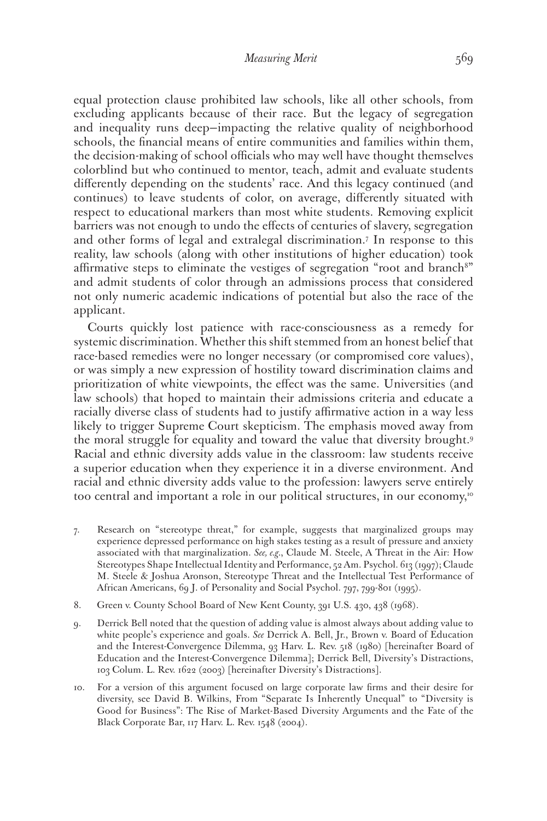equal protection clause prohibited law schools, like all other schools, from excluding applicants because of their race. But the legacy of segregation and inequality runs deep—impacting the relative quality of neighborhood schools, the financial means of entire communities and families within them, the decision-making of school officials who may well have thought themselves colorblind but who continued to mentor, teach, admit and evaluate students differently depending on the students' race. And this legacy continued (and continues) to leave students of color, on average, differently situated with respect to educational markers than most white students. Removing explicit barriers was not enough to undo the effects of centuries of slavery, segregation and other forms of legal and extralegal discrimination.7 In response to this reality, law schools (along with other institutions of higher education) took affirmative steps to eliminate the vestiges of segregation "root and branch<sup>8"</sup> and admit students of color through an admissions process that considered not only numeric academic indications of potential but also the race of the applicant.

Courts quickly lost patience with race-consciousness as a remedy for systemic discrimination. Whether this shift stemmed from an honest belief that race-based remedies were no longer necessary (or compromised core values), or was simply a new expression of hostility toward discrimination claims and prioritization of white viewpoints, the effect was the same. Universities (and law schools) that hoped to maintain their admissions criteria and educate a racially diverse class of students had to justify affirmative action in a way less likely to trigger Supreme Court skepticism. The emphasis moved away from the moral struggle for equality and toward the value that diversity brought.9 Racial and ethnic diversity adds value in the classroom: law students receive a superior education when they experience it in a diverse environment. And racial and ethnic diversity adds value to the profession: lawyers serve entirely too central and important a role in our political structures, in our economy,<sup>10</sup>

- 7. Research on "stereotype threat," for example, suggests that marginalized groups may experience depressed performance on high stakes testing as a result of pressure and anxiety associated with that marginalization. *See, e.g.*, Claude M. Steele, A Threat in the Air: How Stereotypes Shape Intellectual Identity and Performance, 52 Am. Psychol. 613 (1997); Claude M. Steele & Joshua Aronson, Stereotype Threat and the Intellectual Test Performance of African Americans, 69 J. of Personality and Social Psychol. 797, 799-801 (1995).
- 8. Green v. County School Board of New Kent County, 391 U.S. 430, 438 (1968).
- 9. Derrick Bell noted that the question of adding value is almost always about adding value to white people's experience and goals. *See* Derrick A. Bell, Jr., Brown v. Board of Education and the Interest-Convergence Dilemma, 93 Harv. L. Rev. 518 (1980) [hereinafter Board of Education and the Interest-Convergence Dilemma]; Derrick Bell, Diversity's Distractions, 103 Colum. L. Rev. 1622 (2003) [hereinafter Diversity's Distractions].
- 10. For a version of this argument focused on large corporate law firms and their desire for diversity, see David B. Wilkins, From "Separate Is Inherently Unequal" to "Diversity is Good for Business": The Rise of Market-Based Diversity Arguments and the Fate of the Black Corporate Bar, 117 Harv. L. Rev. 1548 (2004).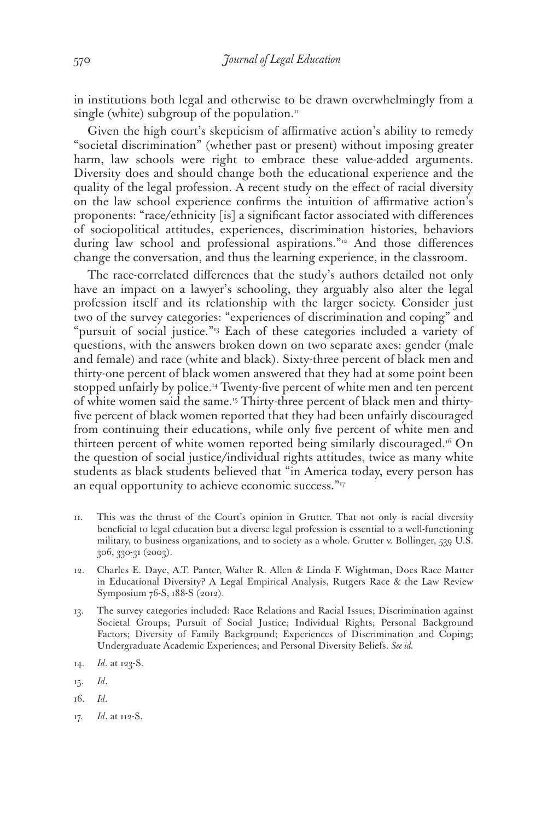in institutions both legal and otherwise to be drawn overwhelmingly from a single (white) subgroup of the population.<sup>11</sup>

Given the high court's skepticism of affirmative action's ability to remedy "societal discrimination" (whether past or present) without imposing greater harm, law schools were right to embrace these value-added arguments. Diversity does and should change both the educational experience and the quality of the legal profession. A recent study on the effect of racial diversity on the law school experience confirms the intuition of affirmative action's proponents: "race/ethnicity [is] a significant factor associated with differences of sociopolitical attitudes, experiences, discrimination histories, behaviors during law school and professional aspirations."<sup>12</sup> And those differences change the conversation, and thus the learning experience, in the classroom.

The race-correlated differences that the study's authors detailed not only have an impact on a lawyer's schooling, they arguably also alter the legal profession itself and its relationship with the larger society. Consider just two of the survey categories: "experiences of discrimination and coping" and "pursuit of social justice."<sup>13</sup> Each of these categories included a variety of questions, with the answers broken down on two separate axes: gender (male and female) and race (white and black). Sixty-three percent of black men and thirty-one percent of black women answered that they had at some point been stopped unfairly by police.<sup>14</sup> Twenty-five percent of white men and ten percent of white women said the same.15 Thirty-three percent of black men and thirtyfive percent of black women reported that they had been unfairly discouraged from continuing their educations, while only five percent of white men and thirteen percent of white women reported being similarly discouraged.<sup>16</sup> On the question of social justice/individual rights attitudes, twice as many white students as black students believed that "in America today, every person has an equal opportunity to achieve economic success."<sup>17</sup>

- 11. This was the thrust of the Court's opinion in Grutter. That not only is racial diversity beneficial to legal education but a diverse legal profession is essential to a well-functioning military, to business organizations, and to society as a whole. Grutter v. Bollinger, 539 U.S. 306, 330-31 (2003).
- 12. Charles E. Daye, A.T. Panter, Walter R. Allen & Linda F. Wightman, Does Race Matter in Educational Diversity? A Legal Empirical Analysis, Rutgers Race & the Law Review Symposium 76-S, 188-S (2012).
- 13. The survey categories included: Race Relations and Racial Issues; Discrimination against Societal Groups; Pursuit of Social Justice; Individual Rights; Personal Background Factors; Diversity of Family Background; Experiences of Discrimination and Coping; Undergraduate Academic Experiences; and Personal Diversity Beliefs. *See id.*
- 14. *Id*. at 123-S.
- 15. *Id*.
- 16. *Id*.
- 17. *Id*. at 112-S.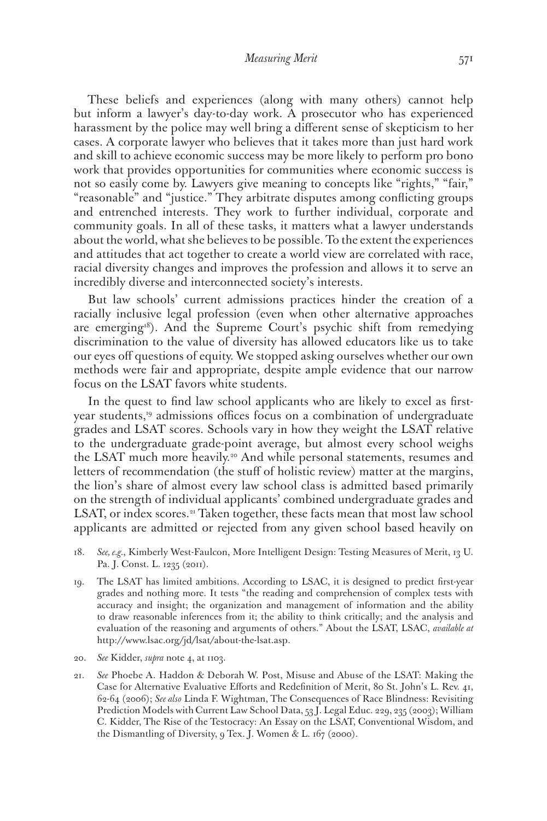These beliefs and experiences (along with many others) cannot help but inform a lawyer's day-to-day work. A prosecutor who has experienced harassment by the police may well bring a different sense of skepticism to her cases. A corporate lawyer who believes that it takes more than just hard work and skill to achieve economic success may be more likely to perform pro bono work that provides opportunities for communities where economic success is not so easily come by. Lawyers give meaning to concepts like "rights," "fair," "reasonable" and "justice." They arbitrate disputes among conflicting groups and entrenched interests. They work to further individual, corporate and community goals. In all of these tasks, it matters what a lawyer understands about the world, what she believes to be possible. To the extent the experiences and attitudes that act together to create a world view are correlated with race, racial diversity changes and improves the profession and allows it to serve an incredibly diverse and interconnected society's interests.

But law schools' current admissions practices hinder the creation of a racially inclusive legal profession (even when other alternative approaches are emerging<sup>18</sup>). And the Supreme Court's psychic shift from remedying discrimination to the value of diversity has allowed educators like us to take our eyes off questions of equity. We stopped asking ourselves whether our own methods were fair and appropriate, despite ample evidence that our narrow focus on the LSAT favors white students.

In the quest to find law school applicants who are likely to excel as firstyear students,19 admissions offices focus on a combination of undergraduate grades and LSAT scores. Schools vary in how they weight the LSAT relative to the undergraduate grade-point average, but almost every school weighs the LSAT much more heavily.20 And while personal statements, resumes and letters of recommendation (the stuff of holistic review) matter at the margins, the lion's share of almost every law school class is admitted based primarily on the strength of individual applicants' combined undergraduate grades and LSAT, or index scores.<sup>21</sup> Taken together, these facts mean that most law school applicants are admitted or rejected from any given school based heavily on

- 18. *See, e.g.*, Kimberly West-Faulcon, More Intelligent Design: Testing Measures of Merit, 13 U. Pa. J. Const. L. 1235 (2011).
- 19. The LSAT has limited ambitions. According to LSAC, it is designed to predict first-year grades and nothing more. It tests "the reading and comprehension of complex tests with accuracy and insight; the organization and management of information and the ability to draw reasonable inferences from it; the ability to think critically; and the analysis and evaluation of the reasoning and arguments of others." About the LSAT, LSAC, *available at*  http://www.lsac.org/jd/lsat/about-the-lsat.asp.
- 20. *See* Kidder, *supra* note 4, at 1103.
- 21. *See* Phoebe A. Haddon & Deborah W. Post, Misuse and Abuse of the LSAT: Making the Case for Alternative Evaluative Efforts and Redefinition of Merit, 80 St. John's L. Rev. 41, 62-64 (2006); *See also* Linda F. Wightman, The Consequences of Race Blindness: Revisiting Prediction Models with Current Law School Data, 53 J. Legal Educ. 229, 235 (2003); William C. Kidder, The Rise of the Testocracy: An Essay on the LSAT, Conventional Wisdom, and the Dismantling of Diversity, 9 Tex. J. Women & L. 167 (2000).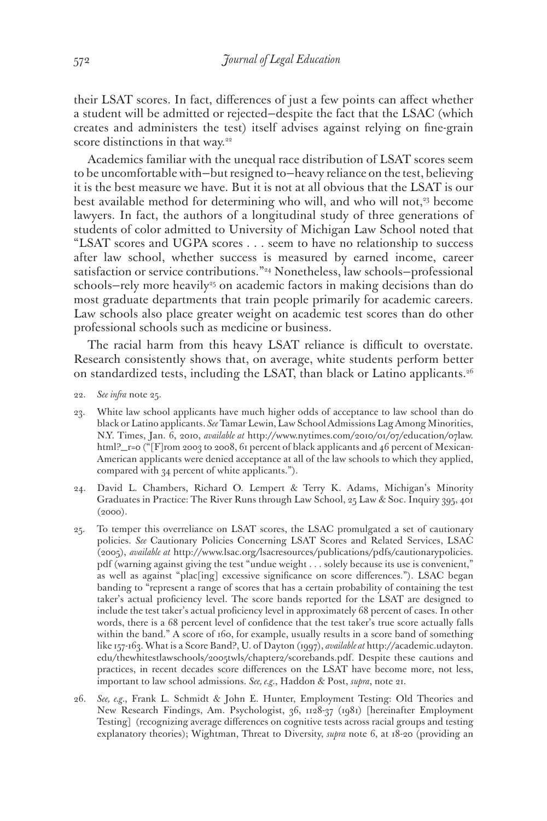their LSAT scores. In fact, differences of just a few points can affect whether a student will be admitted or rejected—despite the fact that the LSAC (which creates and administers the test) itself advises against relying on fine-grain score distinctions in that way.<sup>22</sup>

Academics familiar with the unequal race distribution of LSAT scores seem to be uncomfortable with—but resigned to—heavy reliance on the test, believing it is the best measure we have. But it is not at all obvious that the LSAT is our best available method for determining who will, and who will not,<sup>23</sup> become lawyers. In fact, the authors of a longitudinal study of three generations of students of color admitted to University of Michigan Law School noted that "LSAT scores and UGPA scores . . . seem to have no relationship to success after law school, whether success is measured by earned income, career satisfaction or service contributions."24 Nonetheless, law schools—professional schools–rely more heavily<sup>25</sup> on academic factors in making decisions than do most graduate departments that train people primarily for academic careers. Law schools also place greater weight on academic test scores than do other professional schools such as medicine or business.

The racial harm from this heavy LSAT reliance is difficult to overstate. Research consistently shows that, on average, white students perform better on standardized tests, including the LSAT, than black or Latino applicants.<sup>26</sup>

- 22. *See infra* note 25.
- 23. White law school applicants have much higher odds of acceptance to law school than do black or Latino applicants. *See* Tamar Lewin, Law School Admissions Lag Among Minorities, N.Y. Times, Jan. 6, 2010, *available at* http://www.nytimes.com/2010/01/07/education/07law. html?\_r=0 ("[F]rom 2003 to 2008, 61 percent of black applicants and 46 percent of Mexican-American applicants were denied acceptance at all of the law schools to which they applied, compared with 34 percent of white applicants.").
- 24. David L. Chambers, Richard O. Lempert & Terry K. Adams, Michigan's Minority Graduates in Practice: The River Runs through Law School, 25 Law & Soc. Inquiry 395, 401  $(2000).$
- 25. To temper this overreliance on LSAT scores, the LSAC promulgated a set of cautionary policies. *See* Cautionary Policies Concerning LSAT Scores and Related Services, LSAC (2005), *available at* http://www.lsac.org/lsacresources/publications/pdfs/cautionarypolicies. pdf (warning against giving the test "undue weight . . . solely because its use is convenient," as well as against "plac[ing] excessive significance on score differences."). LSAC began banding to "represent a range of scores that has a certain probability of containing the test taker's actual proficiency level. The score bands reported for the LSAT are designed to include the test taker's actual proficiency level in approximately 68 percent of cases. In other words, there is a 68 percent level of confidence that the test taker's true score actually falls within the band." A score of 160, for example, usually results in a score band of something like 157-163. What is a Score Band?, U. of Dayton (1997), *available at* http://academic.udayton. edu/thewhitestlawschools/2005twls/chapter2/scorebands.pdf. Despite these cautions and practices, in recent decades score differences on the LSAT have become more, not less, important to law school admissions. *See, e.g.*, Haddon & Post, *supra*, note 21.
- 26. *See, e.g.*, Frank L. Schmidt & John E. Hunter, Employment Testing: Old Theories and New Research Findings, Am. Psychologist, 36, 1128-37 (1981) [hereinafter Employment Testing] (recognizing average differences on cognitive tests across racial groups and testing explanatory theories); Wightman, Threat to Diversity, *supra* note 6, at 18-20 (providing an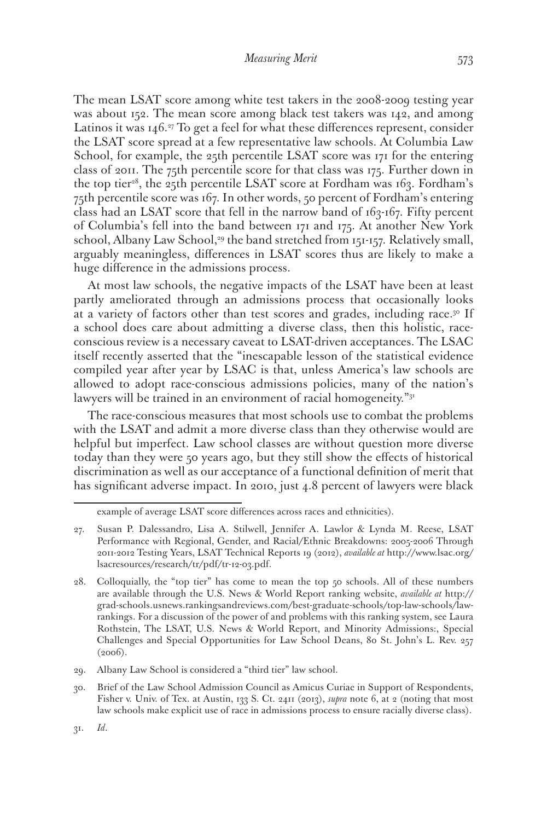The mean LSAT score among white test takers in the 2008-2009 testing year was about 152. The mean score among black test takers was 142, and among Latinos it was  $146.^{27}$  To get a feel for what these differences represent, consider the LSAT score spread at a few representative law schools. At Columbia Law School, for example, the 25th percentile LSAT score was 171 for the entering class of 2011. The 75th percentile score for that class was 175. Further down in the top tier<sup>28</sup>, the 25th percentile LSAT score at Fordham was  $163$ . Fordham's 75th percentile score was 167. In other words, 50 percent of Fordham's entering class had an LSAT score that fell in the narrow band of 163-167. Fifty percent of Columbia's fell into the band between 171 and 175. At another New York school, Albany Law School,<sup>29</sup> the band stretched from 151-157. Relatively small, arguably meaningless, differences in LSAT scores thus are likely to make a huge difference in the admissions process.

At most law schools, the negative impacts of the LSAT have been at least partly ameliorated through an admissions process that occasionally looks at a variety of factors other than test scores and grades, including race.<sup>30</sup> If a school does care about admitting a diverse class, then this holistic, raceconscious review is a necessary caveat to LSAT-driven acceptances. The LSAC itself recently asserted that the "inescapable lesson of the statistical evidence compiled year after year by LSAC is that, unless America's law schools are allowed to adopt race-conscious admissions policies, many of the nation's lawyers will be trained in an environment of racial homogeneity."<sup>31</sup>

The race-conscious measures that most schools use to combat the problems with the LSAT and admit a more diverse class than they otherwise would are helpful but imperfect. Law school classes are without question more diverse today than they were 50 years ago, but they still show the effects of historical discrimination as well as our acceptance of a functional definition of merit that has significant adverse impact. In 2010, just 4.8 percent of lawyers were black

example of average LSAT score differences across races and ethnicities).

<sup>27.</sup> Susan P. Dalessandro, Lisa A. Stilwell, Jennifer A. Lawlor & Lynda M. Reese, LSAT Performance with Regional, Gender, and Racial/Ethnic Breakdowns: 2005-2006 Through 2011-2012 Testing Years, LSAT Technical Reports 19 (2012), *available at* http://www.lsac.org/ lsacresources/research/tr/pdf/tr-12-03.pdf.

<sup>28.</sup> Colloquially, the "top tier" has come to mean the top 50 schools. All of these numbers are available through the U.S. News & World Report ranking website, *available at* http:// grad-schools.usnews.rankingsandreviews.com/best-graduate-schools/top-law-schools/lawrankings. For a discussion of the power of and problems with this ranking system, see Laura Rothstein, The LSAT, U.S. News & World Report, and Minority Admissions:, Special Challenges and Special Opportunities for Law School Deans, 80 St. John's L. Rev. 257  $(2006).$ 

<sup>29.</sup> Albany Law School is considered a "third tier" law school.

<sup>30.</sup> Brief of the Law School Admission Council as Amicus Curiae in Support of Respondents, Fisher v. Univ. of Tex. at Austin, 133 S. Ct. 2411 (2013), *supra* note 6, at 2 (noting that most law schools make explicit use of race in admissions process to ensure racially diverse class).

<sup>573</sup>

<sup>31.</sup> *Id*.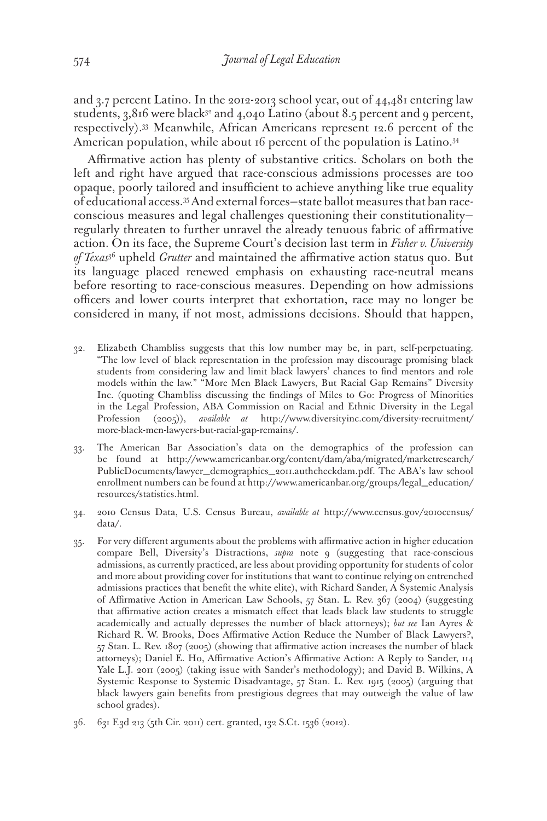and 3.7 percent Latino. In the 2012-2013 school year, out of 44,481 entering law students,  $3,816$  were black<sup>32</sup> and  $4,040$  Latino (about 8.5 percent and 9 percent, respectively).33 Meanwhile, African Americans represent 12.6 percent of the American population, while about 16 percent of the population is Latino.<sup>34</sup>

Affirmative action has plenty of substantive critics. Scholars on both the left and right have argued that race-conscious admissions processes are too opaque, poorly tailored and insufficient to achieve anything like true equality of educational access.35 And external forces—state ballot measures that ban raceconscious measures and legal challenges questioning their constitutionality regularly threaten to further unravel the already tenuous fabric of affirmative action. On its face, the Supreme Court's decision last term in *Fisher v. University of Texas*36 upheld *Grutter* and maintained the affirmative action status quo. But its language placed renewed emphasis on exhausting race-neutral means before resorting to race-conscious measures. Depending on how admissions officers and lower courts interpret that exhortation, race may no longer be considered in many, if not most, admissions decisions. Should that happen,

- 32. Elizabeth Chambliss suggests that this low number may be, in part, self-perpetuating. "The low level of black representation in the profession may discourage promising black students from considering law and limit black lawyers' chances to find mentors and role models within the law." "More Men Black Lawyers, But Racial Gap Remains" Diversity Inc. (quoting Chambliss discussing the findings of Miles to Go: Progress of Minorities in the Legal Profession, ABA Commission on Racial and Ethnic Diversity in the Legal Profession (2005)), *available at* http://www.diversityinc.com/diversity-recruitment/ more-black-men-lawyers-but-racial-gap-remains/.
- 33. The American Bar Association's data on the demographics of the profession can be found at http://www.americanbar.org/content/dam/aba/migrated/marketresearch/ PublicDocuments/lawyer\_demographics\_2011.authcheckdam.pdf. The ABA's law school enrollment numbers can be found at http://www.americanbar.org/groups/legal\_education/ resources/statistics.html.
- 34. 2010 Census Data, U.S. Census Bureau, *available at* http://www.census.gov/2010census/ data/.
- 35. For very different arguments about the problems with affirmative action in higher education compare Bell, Diversity's Distractions, *supra* note 9 (suggesting that race-conscious admissions, as currently practiced, are less about providing opportunity for students of color and more about providing cover for institutions that want to continue relying on entrenched admissions practices that benefit the white elite), with Richard Sander, A Systemic Analysis of Affirmative Action in American Law Schools, 57 Stan. L. Rev. 367 (2004) (suggesting that affirmative action creates a mismatch effect that leads black law students to struggle academically and actually depresses the number of black attorneys); *but see* Ian Ayres & Richard R. W. Brooks, Does Affirmative Action Reduce the Number of Black Lawyers?, 57 Stan. L. Rev. 1807 (2005) (showing that affirmative action increases the number of black attorneys); Daniel E. Ho, Affirmative Action's Affirmative Action: A Reply to Sander, 114 Yale L.J. 2011 (2005) (taking issue with Sander's methodology); and David B. Wilkins, A Systemic Response to Systemic Disadvantage, 57 Stan. L. Rev. 1915 (2005) (arguing that black lawyers gain benefits from prestigious degrees that may outweigh the value of law school grades).
- 36. 631 F.3d 213 (5th Cir. 2011) cert. granted, 132 S.Ct. 1536 (2012).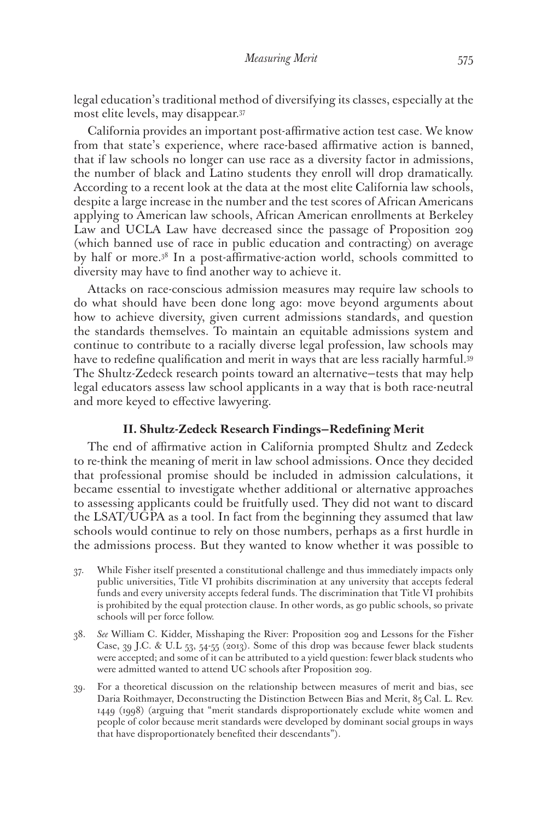legal education's traditional method of diversifying its classes, especially at the most elite levels, may disappear.37

California provides an important post-affirmative action test case. We know from that state's experience, where race-based affirmative action is banned, that if law schools no longer can use race as a diversity factor in admissions, the number of black and Latino students they enroll will drop dramatically. According to a recent look at the data at the most elite California law schools, despite a large increase in the number and the test scores of African Americans applying to American law schools, African American enrollments at Berkeley Law and UCLA Law have decreased since the passage of Proposition 209 (which banned use of race in public education and contracting) on average by half or more.38 In a post-affirmative-action world, schools committed to diversity may have to find another way to achieve it.

Attacks on race-conscious admission measures may require law schools to do what should have been done long ago: move beyond arguments about how to achieve diversity, given current admissions standards, and question the standards themselves. To maintain an equitable admissions system and continue to contribute to a racially diverse legal profession, law schools may have to redefine qualification and merit in ways that are less racially harmful.<sup>39</sup> The Shultz-Zedeck research points toward an alternative—tests that may help legal educators assess law school applicants in a way that is both race-neutral and more keyed to effective lawyering.

## **II. Shultz-Zedeck Research Findings—Redefining Merit**

The end of affirmative action in California prompted Shultz and Zedeck to re-think the meaning of merit in law school admissions. Once they decided that professional promise should be included in admission calculations, it became essential to investigate whether additional or alternative approaches to assessing applicants could be fruitfully used. They did not want to discard the LSAT/UGPA as a tool. In fact from the beginning they assumed that law schools would continue to rely on those numbers, perhaps as a first hurdle in the admissions process. But they wanted to know whether it was possible to

- 37. While Fisher itself presented a constitutional challenge and thus immediately impacts only public universities, Title VI prohibits discrimination at any university that accepts federal funds and every university accepts federal funds. The discrimination that Title VI prohibits is prohibited by the equal protection clause. In other words, as go public schools, so private schools will per force follow.
- 38. *See* William C. Kidder, Misshaping the River: Proposition 209 and Lessons for the Fisher Case, 39 J.C. & U.L 53, 54-55 (2013). Some of this drop was because fewer black students were accepted; and some of it can be attributed to a yield question: fewer black students who were admitted wanted to attend UC schools after Proposition 209.
- 39. For a theoretical discussion on the relationship between measures of merit and bias, see Daria Roithmayer, Deconstructing the Distinction Between Bias and Merit, 85 Cal. L. Rev. 1449 (1998) (arguing that "merit standards disproportionately exclude white women and people of color because merit standards were developed by dominant social groups in ways that have disproportionately benefited their descendants").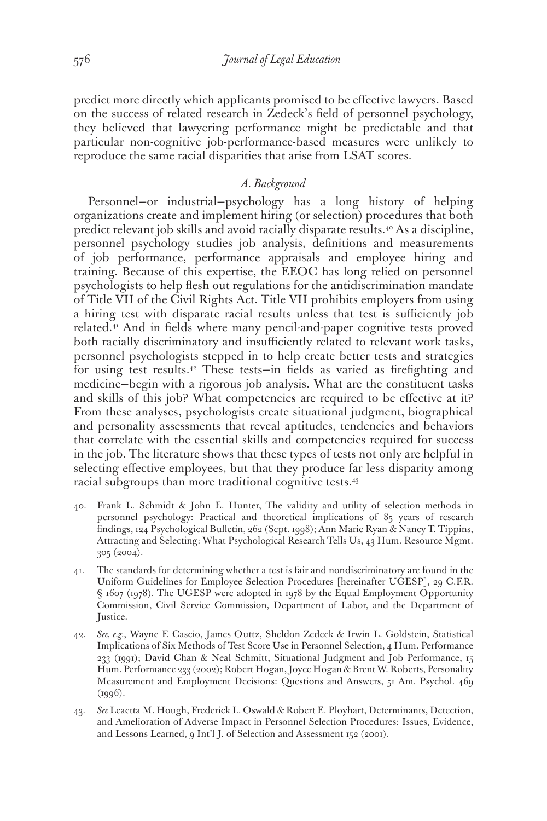predict more directly which applicants promised to be effective lawyers. Based on the success of related research in Zedeck's field of personnel psychology, they believed that lawyering performance might be predictable and that particular non-cognitive job-performance-based measures were unlikely to reproduce the same racial disparities that arise from LSAT scores.

### *A. Background*

Personnel—or industrial—psychology has a long history of helping organizations create and implement hiring (or selection) procedures that both predict relevant job skills and avoid racially disparate results.40 As a discipline, personnel psychology studies job analysis, definitions and measurements of job performance, performance appraisals and employee hiring and training. Because of this expertise, the EEOC has long relied on personnel psychologists to help flesh out regulations for the antidiscrimination mandate of Title VII of the Civil Rights Act. Title VII prohibits employers from using a hiring test with disparate racial results unless that test is sufficiently job related.41 And in fields where many pencil-and-paper cognitive tests proved both racially discriminatory and insufficiently related to relevant work tasks, personnel psychologists stepped in to help create better tests and strategies for using test results.42 These tests—in fields as varied as firefighting and medicine—begin with a rigorous job analysis. What are the constituent tasks and skills of this job? What competencies are required to be effective at it? From these analyses, psychologists create situational judgment, biographical and personality assessments that reveal aptitudes, tendencies and behaviors that correlate with the essential skills and competencies required for success in the job. The literature shows that these types of tests not only are helpful in selecting effective employees, but that they produce far less disparity among racial subgroups than more traditional cognitive tests.<sup>43</sup>

- 40. Frank L. Schmidt & John E. Hunter, The validity and utility of selection methods in personnel psychology: Practical and theoretical implications of 85 years of research findings, 124 Psychological Bulletin, 262 (Sept. 1998); Ann Marie Ryan & Nancy T. Tippins, Attracting and Selecting: What Psychological Research Tells Us, 43 Hum. Resource Mgmt. 305 (2004).
- 41. The standards for determining whether a test is fair and nondiscriminatory are found in the Uniform Guidelines for Employee Selection Procedures [hereinafter UGESP], 29 C.F.R. § 1607 (1978). The UGESP were adopted in 1978 by the Equal Employment Opportunity Commission, Civil Service Commission, Department of Labor, and the Department of Justice.
- 42. *See, e.g.*, Wayne F. Cascio, James Outtz, Sheldon Zedeck & Irwin L. Goldstein, Statistical Implications of Six Methods of Test Score Use in Personnel Selection, 4 Hum. Performance 233 (1991); David Chan & Neal Schmitt, Situational Judgment and Job Performance, 15 Hum. Performance 233 (2002); Robert Hogan, Joyce Hogan & Brent W. Roberts, Personality Measurement and Employment Decisions: Questions and Answers, 51 Am. Psychol. 469  $(1996).$
- 43. *See* Leaetta M. Hough, Frederick L. Oswald & Robert E. Ployhart, Determinants, Detection, and Amelioration of Adverse Impact in Personnel Selection Procedures: Issues, Evidence, and Lessons Learned, 9 Int'l J. of Selection and Assessment 152 (2001).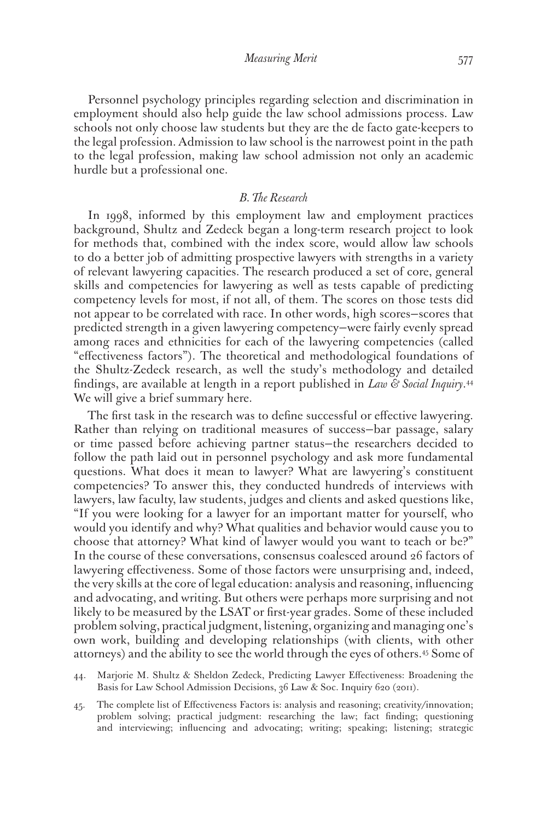Personnel psychology principles regarding selection and discrimination in employment should also help guide the law school admissions process. Law schools not only choose law students but they are the de facto gate-keepers to the legal profession. Admission to law school is the narrowest point in the path to the legal profession, making law school admission not only an academic hurdle but a professional one.

## *B. The Research*

In 1998, informed by this employment law and employment practices background, Shultz and Zedeck began a long-term research project to look for methods that, combined with the index score, would allow law schools to do a better job of admitting prospective lawyers with strengths in a variety of relevant lawyering capacities. The research produced a set of core, general skills and competencies for lawyering as well as tests capable of predicting competency levels for most, if not all, of them. The scores on those tests did not appear to be correlated with race. In other words, high scores—scores that predicted strength in a given lawyering competency—were fairly evenly spread among races and ethnicities for each of the lawyering competencies (called "effectiveness factors"). The theoretical and methodological foundations of the Shultz-Zedeck research, as well the study's methodology and detailed findings, are available at length in a report published in *Law & Social Inquiry*. 44 We will give a brief summary here.

The first task in the research was to define successful or effective lawyering. Rather than relying on traditional measures of success—bar passage, salary or time passed before achieving partner status—the researchers decided to follow the path laid out in personnel psychology and ask more fundamental questions. What does it mean to lawyer? What are lawyering's constituent competencies? To answer this, they conducted hundreds of interviews with lawyers, law faculty, law students, judges and clients and asked questions like, "If you were looking for a lawyer for an important matter for yourself, who would you identify and why? What qualities and behavior would cause you to choose that attorney? What kind of lawyer would you want to teach or be?" In the course of these conversations, consensus coalesced around 26 factors of lawyering effectiveness. Some of those factors were unsurprising and, indeed, the very skills at the core of legal education: analysis and reasoning, influencing and advocating, and writing. But others were perhaps more surprising and not likely to be measured by the LSAT or first-year grades. Some of these included problem solving, practical judgment, listening, organizing and managing one's own work, building and developing relationships (with clients, with other attorneys) and the ability to see the world through the eyes of others.45 Some of

- 44. Marjorie M. Shultz & Sheldon Zedeck, Predicting Lawyer Effectiveness: Broadening the Basis for Law School Admission Decisions, 36 Law & Soc. Inquiry 620 (2011).
- 45. The complete list of Effectiveness Factors is: analysis and reasoning; creativity/innovation; problem solving; practical judgment: researching the law; fact finding; questioning and interviewing; influencing and advocating; writing; speaking; listening; strategic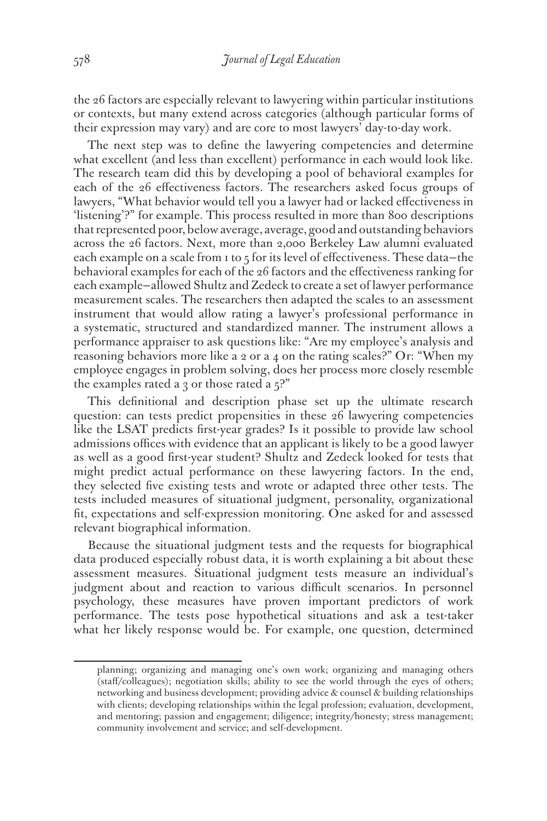the 26 factors are especially relevant to lawyering within particular institutions or contexts, but many extend across categories (although particular forms of their expression may vary) and are core to most lawyers' day-to-day work.

The next step was to define the lawyering competencies and determine what excellent (and less than excellent) performance in each would look like. The research team did this by developing a pool of behavioral examples for each of the 26 effectiveness factors. The researchers asked focus groups of lawyers, "What behavior would tell you a lawyer had or lacked effectiveness in 'listening'?" for example. This process resulted in more than 800 descriptions that represented poor, below average, average, good and outstanding behaviors across the 26 factors. Next, more than 2,000 Berkeley Law alumni evaluated each example on a scale from 1 to 5 for its level of effectiveness. These data-the behavioral examples for each of the 26 factors and the effectiveness ranking for each example—allowed Shultz and Zedeck to create a set of lawyer performance measurement scales. The researchers then adapted the scales to an assessment instrument that would allow rating a lawyer's professional performance in a systematic, structured and standardized manner. The instrument allows a performance appraiser to ask questions like: "Are my employee's analysis and reasoning behaviors more like a 2 or a 4 on the rating scales?" Or: "When my employee engages in problem solving, does her process more closely resemble the examples rated a 3 or those rated a  $5$ ?"

This definitional and description phase set up the ultimate research question: can tests predict propensities in these 26 lawyering competencies like the LSAT predicts first-year grades? Is it possible to provide law school admissions offices with evidence that an applicant is likely to be a good lawyer as well as a good first-year student? Shultz and Zedeck looked for tests that might predict actual performance on these lawyering factors. In the end, they selected five existing tests and wrote or adapted three other tests. The tests included measures of situational judgment, personality, organizational fit, expectations and self-expression monitoring. One asked for and assessed relevant biographical information.

Because the situational judgment tests and the requests for biographical data produced especially robust data, it is worth explaining a bit about these assessment measures. Situational judgment tests measure an individual's judgment about and reaction to various difficult scenarios. In personnel psychology, these measures have proven important predictors of work performance. The tests pose hypothetical situations and ask a test-taker what her likely response would be. For example, one question, determined

planning; organizing and managing one's own work; organizing and managing others (staff/colleagues); negotiation skills; ability to see the world through the eyes of others; networking and business development; providing advice & counsel & building relationships with clients; developing relationships within the legal profession; evaluation, development, and mentoring; passion and engagement; diligence; integrity/honesty; stress management; community involvement and service; and self-development.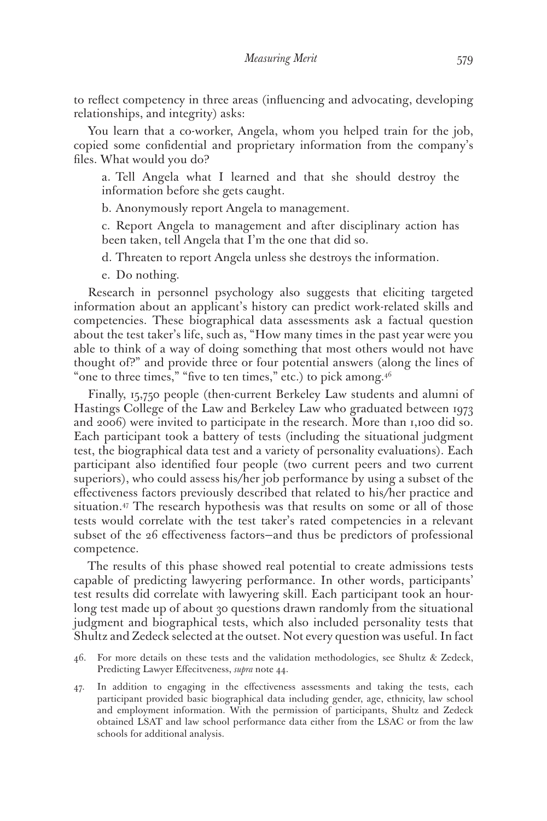to reflect competency in three areas (influencing and advocating, developing relationships, and integrity) asks:

You learn that a co-worker, Angela, whom you helped train for the job, copied some confidential and proprietary information from the company's files. What would you do?

a. Tell Angela what I learned and that she should destroy the information before she gets caught.

b. Anonymously report Angela to management.

c. Report Angela to management and after disciplinary action has been taken, tell Angela that I'm the one that did so.

d. Threaten to report Angela unless she destroys the information.

e. Do nothing.

Research in personnel psychology also suggests that eliciting targeted information about an applicant's history can predict work-related skills and competencies. These biographical data assessments ask a factual question about the test taker's life, such as, "How many times in the past year were you able to think of a way of doing something that most others would not have thought of?" and provide three or four potential answers (along the lines of "one to three times," "five to ten times," etc.) to pick among.<sup>46</sup>

Finally, 15,750 people (then-current Berkeley Law students and alumni of Hastings College of the Law and Berkeley Law who graduated between 1973 and 2006) were invited to participate in the research. More than 1,100 did so. Each participant took a battery of tests (including the situational judgment test, the biographical data test and a variety of personality evaluations). Each participant also identified four people (two current peers and two current superiors), who could assess his/her job performance by using a subset of the effectiveness factors previously described that related to his/her practice and situation.<sup>47</sup> The research hypothesis was that results on some or all of those tests would correlate with the test taker's rated competencies in a relevant subset of the 26 effectiveness factors—and thus be predictors of professional competence.

The results of this phase showed real potential to create admissions tests capable of predicting lawyering performance. In other words, participants' test results did correlate with lawyering skill. Each participant took an hourlong test made up of about 30 questions drawn randomly from the situational judgment and biographical tests, which also included personality tests that Shultz and Zedeck selected at the outset. Not every question was useful. In fact

- 46. For more details on these tests and the validation methodologies, see Shultz & Zedeck, Predicting Lawyer Effecitveness, *supra* note 44.
- 47. In addition to engaging in the effectiveness assessments and taking the tests, each participant provided basic biographical data including gender, age, ethnicity, law school and employment information. With the permission of participants, Shultz and Zedeck obtained LSAT and law school performance data either from the LSAC or from the law schools for additional analysis.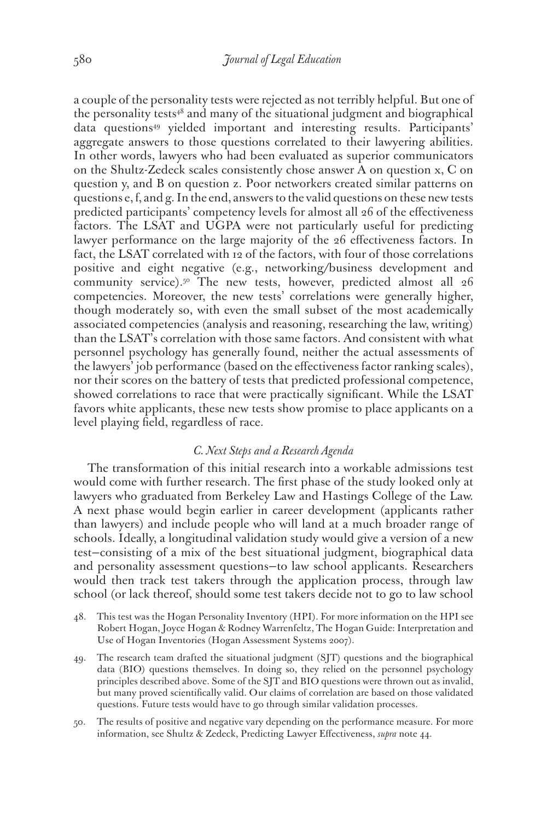a couple of the personality tests were rejected as not terribly helpful. But one of the personality tests $48$  and many of the situational judgment and biographical data questions49 yielded important and interesting results. Participants' aggregate answers to those questions correlated to their lawyering abilities. In other words, lawyers who had been evaluated as superior communicators on the Shultz-Zedeck scales consistently chose answer A on question x, C on question y, and B on question z. Poor networkers created similar patterns on questions e, f, and g. In the end, answers to the valid questions on these new tests predicted participants' competency levels for almost all 26 of the effectiveness factors. The LSAT and UGPA were not particularly useful for predicting lawyer performance on the large majority of the 26 effectiveness factors. In fact, the LSAT correlated with 12 of the factors, with four of those correlations positive and eight negative (e.g., networking/business development and community service).<sup>50</sup> The new tests, however, predicted almost all 26 competencies. Moreover, the new tests' correlations were generally higher, though moderately so, with even the small subset of the most academically associated competencies (analysis and reasoning, researching the law, writing) than the LSAT's correlation with those same factors. And consistent with what personnel psychology has generally found, neither the actual assessments of the lawyers' job performance (based on the effectiveness factor ranking scales), nor their scores on the battery of tests that predicted professional competence, showed correlations to race that were practically significant. While the LSAT favors white applicants, these new tests show promise to place applicants on a level playing field, regardless of race.

## *C. Next Steps and a Research Agenda*

The transformation of this initial research into a workable admissions test would come with further research. The first phase of the study looked only at lawyers who graduated from Berkeley Law and Hastings College of the Law. A next phase would begin earlier in career development (applicants rather than lawyers) and include people who will land at a much broader range of schools. Ideally, a longitudinal validation study would give a version of a new test—consisting of a mix of the best situational judgment, biographical data and personality assessment questions—to law school applicants. Researchers would then track test takers through the application process, through law school (or lack thereof, should some test takers decide not to go to law school

- 48. This test was the Hogan Personality Inventory (HPI). For more information on the HPI see Robert Hogan, Joyce Hogan & Rodney Warrenfeltz, The Hogan Guide: Interpretation and Use of Hogan Inventories (Hogan Assessment Systems 2007).
- 49. The research team drafted the situational judgment (SJT) questions and the biographical data (BIO) questions themselves. In doing so, they relied on the personnel psychology principles described above. Some of the SJT and BIO questions were thrown out as invalid, but many proved scientifically valid. Our claims of correlation are based on those validated questions. Future tests would have to go through similar validation processes.
- 50. The results of positive and negative vary depending on the performance measure. For more information, see Shultz & Zedeck, Predicting Lawyer Effectiveness, *supra* note 44.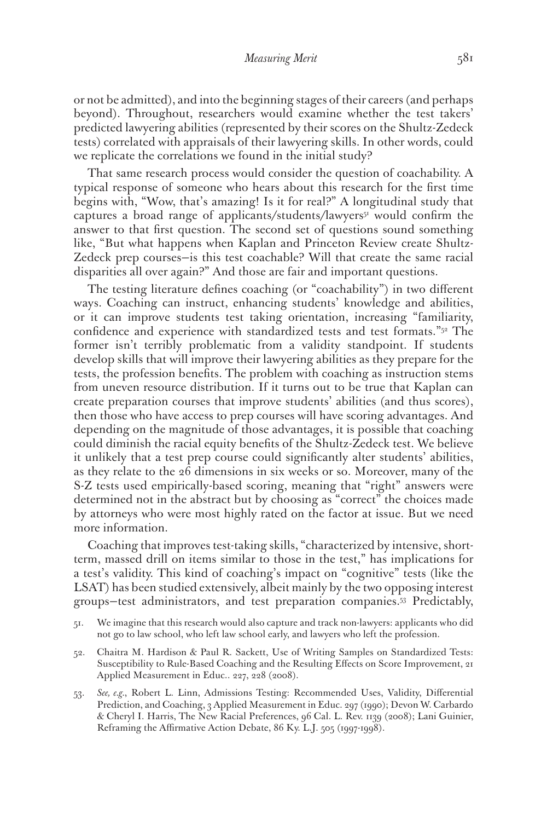or not be admitted), and into the beginning stages of their careers (and perhaps beyond). Throughout, researchers would examine whether the test takers' predicted lawyering abilities (represented by their scores on the Shultz-Zedeck tests) correlated with appraisals of their lawyering skills. In other words, could we replicate the correlations we found in the initial study?

That same research process would consider the question of coachability. A typical response of someone who hears about this research for the first time begins with, "Wow, that's amazing! Is it for real?" A longitudinal study that captures a broad range of applicants/students/lawyers<sup>51</sup> would confirm the answer to that first question. The second set of questions sound something like, "But what happens when Kaplan and Princeton Review create Shultz-Zedeck prep courses—is this test coachable? Will that create the same racial disparities all over again?" And those are fair and important questions.

The testing literature defines coaching (or "coachability") in two different ways. Coaching can instruct, enhancing students' knowledge and abilities, or it can improve students test taking orientation, increasing "familiarity, confidence and experience with standardized tests and test formats."52 The former isn't terribly problematic from a validity standpoint. If students develop skills that will improve their lawyering abilities as they prepare for the tests, the profession benefits. The problem with coaching as instruction stems from uneven resource distribution. If it turns out to be true that Kaplan can create preparation courses that improve students' abilities (and thus scores), then those who have access to prep courses will have scoring advantages. And depending on the magnitude of those advantages, it is possible that coaching could diminish the racial equity benefits of the Shultz-Zedeck test. We believe it unlikely that a test prep course could significantly alter students' abilities, as they relate to the 26 dimensions in six weeks or so. Moreover, many of the S-Z tests used empirically-based scoring, meaning that "right" answers were determined not in the abstract but by choosing as "correct" the choices made by attorneys who were most highly rated on the factor at issue. But we need more information.

Coaching that improves test-taking skills, "characterized by intensive, shortterm, massed drill on items similar to those in the test," has implications for a test's validity. This kind of coaching's impact on "cognitive" tests (like the LSAT) has been studied extensively, albeit mainly by the two opposing interest groups—test administrators, and test preparation companies.53 Predictably,

- 51. We imagine that this research would also capture and track non-lawyers: applicants who did not go to law school, who left law school early, and lawyers who left the profession.
- 52. Chaitra M. Hardison & Paul R. Sackett, Use of Writing Samples on Standardized Tests: Susceptibility to Rule-Based Coaching and the Resulting Effects on Score Improvement, 21 Applied Measurement in Educ.. 227, 228 (2008).
- 53. *See, e.g.*, Robert L. Linn, Admissions Testing: Recommended Uses, Validity, Differential Prediction, and Coaching, 3 Applied Measurement in Educ. 297 (1990); Devon W. Carbardo & Cheryl I. Harris, The New Racial Preferences, 96 Cal. L. Rev. 1139 (2008); Lani Guinier, Reframing the Affirmative Action Debate, 86 Ky. L.J. 505 (1997-1998).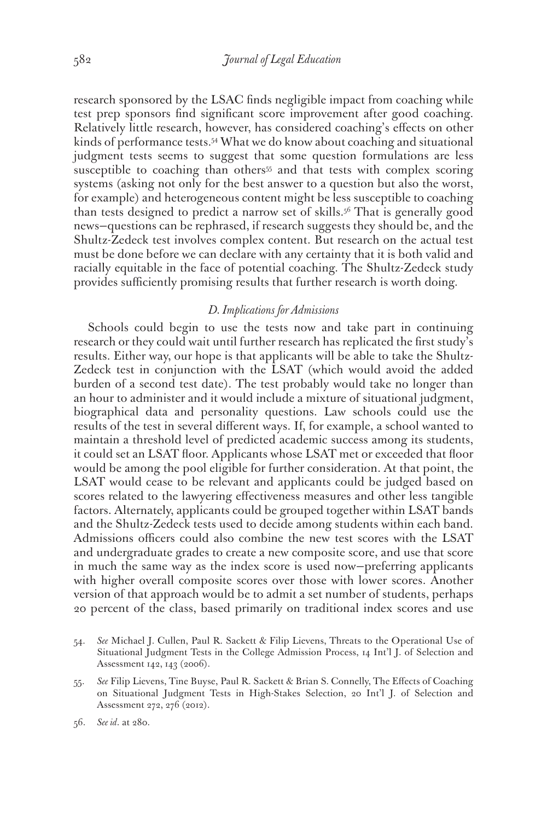research sponsored by the LSAC finds negligible impact from coaching while test prep sponsors find significant score improvement after good coaching. Relatively little research, however, has considered coaching's effects on other kinds of performance tests.<sup>54</sup> What we do know about coaching and situational judgment tests seems to suggest that some question formulations are less susceptible to coaching than others<sup>55</sup> and that tests with complex scoring systems (asking not only for the best answer to a question but also the worst, for example) and heterogeneous content might be less susceptible to coaching than tests designed to predict a narrow set of skills.56 That is generally good news—questions can be rephrased, if research suggests they should be, and the Shultz-Zedeck test involves complex content. But research on the actual test must be done before we can declare with any certainty that it is both valid and racially equitable in the face of potential coaching. The Shultz-Zedeck study provides sufficiently promising results that further research is worth doing.

## *D. Implications for Admissions*

Schools could begin to use the tests now and take part in continuing research or they could wait until further research has replicated the first study's results. Either way, our hope is that applicants will be able to take the Shultz-Zedeck test in conjunction with the LSAT (which would avoid the added burden of a second test date). The test probably would take no longer than an hour to administer and it would include a mixture of situational judgment, biographical data and personality questions. Law schools could use the results of the test in several different ways. If, for example, a school wanted to maintain a threshold level of predicted academic success among its students, it could set an LSAT floor. Applicants whose LSAT met or exceeded that floor would be among the pool eligible for further consideration. At that point, the LSAT would cease to be relevant and applicants could be judged based on scores related to the lawyering effectiveness measures and other less tangible factors. Alternately, applicants could be grouped together within LSAT bands and the Shultz-Zedeck tests used to decide among students within each band. Admissions officers could also combine the new test scores with the LSAT and undergraduate grades to create a new composite score, and use that score in much the same way as the index score is used now—preferring applicants with higher overall composite scores over those with lower scores. Another version of that approach would be to admit a set number of students, perhaps 20 percent of the class, based primarily on traditional index scores and use

<sup>54.</sup> *See* Michael J. Cullen, Paul R. Sackett & Filip Lievens, Threats to the Operational Use of Situational Judgment Tests in the College Admission Process, 14 Int'l J. of Selection and Assessment 142, 143 (2006).

<sup>55.</sup> *See* Filip Lievens, Tine Buyse, Paul R. Sackett & Brian S. Connelly, The Effects of Coaching on Situational Judgment Tests in High-Stakes Selection, 20 Int'l J. of Selection and Assessment 272, 276 (2012).

<sup>56.</sup> *See id*. at 280.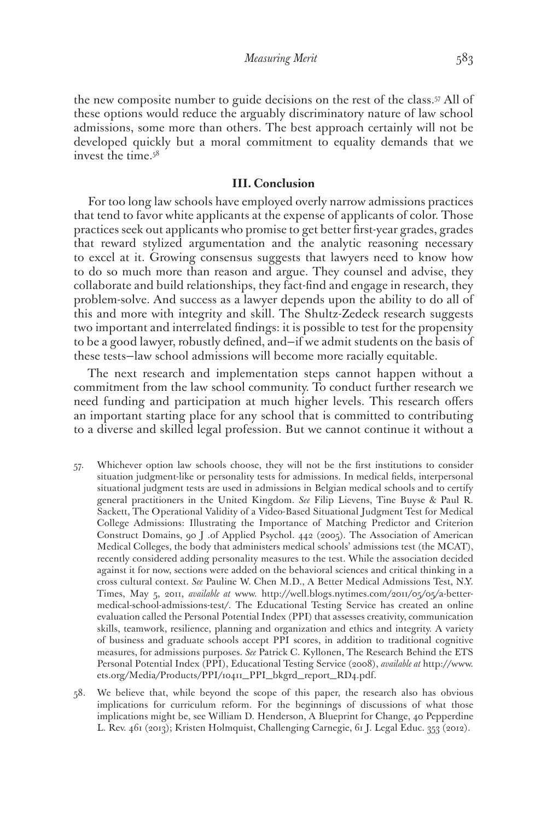the new composite number to guide decisions on the rest of the class.57 All of these options would reduce the arguably discriminatory nature of law school admissions, some more than others. The best approach certainly will not be developed quickly but a moral commitment to equality demands that we invest the time.58

#### **III. Conclusion**

For too long law schools have employed overly narrow admissions practices that tend to favor white applicants at the expense of applicants of color. Those practices seek out applicants who promise to get better first-year grades, grades that reward stylized argumentation and the analytic reasoning necessary to excel at it. Growing consensus suggests that lawyers need to know how to do so much more than reason and argue. They counsel and advise, they collaborate and build relationships, they fact-find and engage in research, they problem-solve. And success as a lawyer depends upon the ability to do all of this and more with integrity and skill. The Shultz-Zedeck research suggests two important and interrelated findings: it is possible to test for the propensity to be a good lawyer, robustly defined, and—if we admit students on the basis of these tests—law school admissions will become more racially equitable.

The next research and implementation steps cannot happen without a commitment from the law school community. To conduct further research we need funding and participation at much higher levels. This research offers an important starting place for any school that is committed to contributing to a diverse and skilled legal profession. But we cannot continue it without a

- 57. Whichever option law schools choose, they will not be the first institutions to consider situation judgment-like or personality tests for admissions. In medical fields, interpersonal situational judgment tests are used in admissions in Belgian medical schools and to certify general practitioners in the United Kingdom. *See* Filip Lievens, Tine Buyse & Paul R. Sackett, The Operational Validity of a Video-Based Situational Judgment Test for Medical College Admissions: Illustrating the Importance of Matching Predictor and Criterion Construct Domains, 90 J .of Applied Psychol. 442 (2005). The Association of American Medical Colleges, the body that administers medical schools' admissions test (the MCAT), recently considered adding personality measures to the test. While the association decided against it for now, sections were added on the behavioral sciences and critical thinking in a cross cultural context. *See* Pauline W. Chen M.D., A Better Medical Admissions Test, N.Y. Times, May 5, 2011, *available at* www. http://well.blogs.nytimes.com/2011/05/05/a-bettermedical-school-admissions-test/. The Educational Testing Service has created an online evaluation called the Personal Potential Index (PPI) that assesses creativity, communication skills, teamwork, resilience, planning and organization and ethics and integrity. A variety of business and graduate schools accept PPI scores, in addition to traditional cognitive measures, for admissions purposes. *See* Patrick C. Kyllonen, The Research Behind the ETS Personal Potential Index (PPI), Educational Testing Service (2008), *available at* http://www. ets.org/Media/Products/PPI/10411\_PPI\_bkgrd\_report\_RD4.pdf.
- 58. We believe that, while beyond the scope of this paper, the research also has obvious implications for curriculum reform. For the beginnings of discussions of what those implications might be, see William D. Henderson, A Blueprint for Change, 40 Pepperdine L. Rev. 461 (2013); Kristen Holmquist, Challenging Carnegie, 61 J. Legal Educ. 353 (2012).